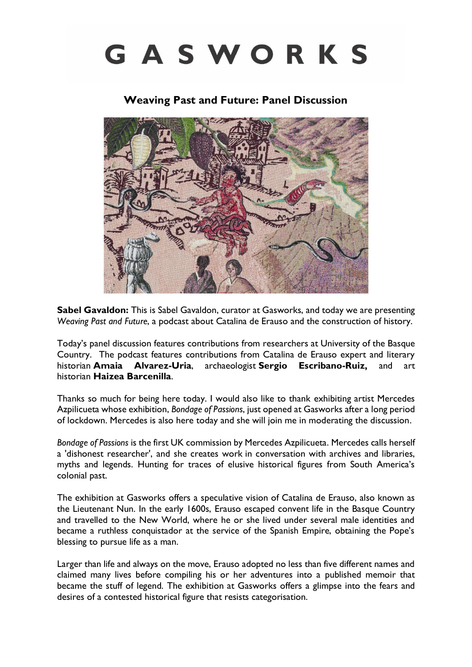## GASWORKS

## **Weaving Past and Future: Panel Discussion**



**Sabel Gavaldon:** This is Sabel Gavaldon, curator at Gasworks, and today we are presenting *Weaving Past and Future*, a podcast about Catalina de Erauso and the construction of history.

Today's panel discussion features contributions from researchers at University of the Basque Country. The podcast features contributions from Catalina de Erauso expert and literary historian **Amaia Alvarez-Uria**, archaeologist **Sergio Escribano-Ruiz,** and art historian **Haizea Barcenilla**.

Thanks so much for being here today. I would also like to thank exhibiting artist Mercedes Azpilicueta whose exhibition, *Bondage of Passions*, just opened at Gasworks after a long period of lockdown. Mercedes is also here today and she will join me in moderating the discussion.

*Bondage of Passions* is the first UK commission by Mercedes Azpilicueta. Mercedes calls herself a 'dishonest researcher', and she creates work in conversation with archives and libraries, myths and legends. Hunting for traces of elusive historical figures from South America's colonial past.

The exhibition at Gasworks offers a speculative vision of Catalina de Erauso, also known as the Lieutenant Nun. In the early 1600s, Erauso escaped convent life in the Basque Country and travelled to the New World, where he or she lived under several male identities and became a ruthless conquistador at the service of the Spanish Empire, obtaining the Pope's blessing to pursue life as a man.

Larger than life and always on the move, Erauso adopted no less than five different names and claimed many lives before compiling his or her adventures into a published memoir that became the stuff of legend. The exhibition at Gasworks offers a glimpse into the fears and desires of a contested historical figure that resists categorisation.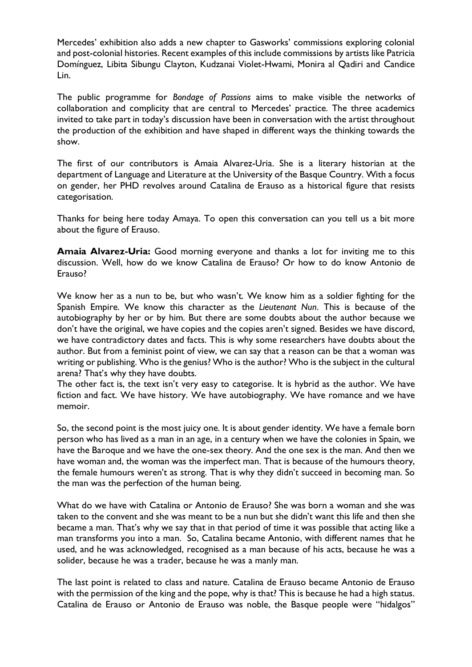Mercedes' exhibition also adds a new chapter to Gasworks' commissions exploring colonial and post-colonial histories. Recent examples of this include commissions by artists like Patricia Domínguez, Libita Sibungu Clayton, Kudzanai Violet-Hwami, Monira al Qadiri and Candice Lin.

The public programme for *Bondage of Passions* aims to make visible the networks of collaboration and complicity that are central to Mercedes' practice. The three academics invited to take part in today's discussion have been in conversation with the artist throughout the production of the exhibition and have shaped in different ways the thinking towards the show.

The first of our contributors is Amaia Alvarez-Uria. She is a literary historian at the department of Language and Literature at the University of the Basque Country. With a focus on gender, her PHD revolves around Catalina de Erauso as a historical figure that resists categorisation.

Thanks for being here today Amaya. To open this conversation can you tell us a bit more about the figure of Erauso.

**Amaia Alvarez-Uria:** Good morning everyone and thanks a lot for inviting me to this discussion. Well, how do we know Catalina de Erauso? Or how to do know Antonio de Erauso?

We know her as a nun to be, but who wasn't. We know him as a soldier fighting for the Spanish Empire. We know this character as the *Lieutenant Nun*. This is because of the autobiography by her or by him. But there are some doubts about the author because we don't have the original, we have copies and the copies aren't signed. Besides we have discord, we have contradictory dates and facts. This is why some researchers have doubts about the author. But from a feminist point of view, we can say that a reason can be that a woman was writing or publishing. Who is the genius? Who is the author? Who is the subject in the cultural arena? That's why they have doubts.

The other fact is, the text isn't very easy to categorise. It is hybrid as the author. We have fiction and fact. We have history. We have autobiography. We have romance and we have memoir.

So, the second point is the most juicy one. It is about gender identity. We have a female born person who has lived as a man in an age, in a century when we have the colonies in Spain, we have the Baroque and we have the one-sex theory. And the one sex is the man. And then we have woman and, the woman was the imperfect man. That is because of the humours theory, the female humours weren't as strong. That is why they didn't succeed in becoming man. So the man was the perfection of the human being.

What do we have with Catalina or Antonio de Erauso? She was born a woman and she was taken to the convent and she was meant to be a nun but she didn't want this life and then she became a man. That's why we say that in that period of time it was possible that acting like a man transforms you into a man. So, Catalina became Antonio, with different names that he used, and he was acknowledged, recognised as a man because of his acts, because he was a solider, because he was a trader, because he was a manly man.

The last point is related to class and nature. Catalina de Erauso became Antonio de Erauso with the permission of the king and the pope, why is that? This is because he had a high status. Catalina de Erauso or Antonio de Erauso was noble, the Basque people were "hidalgos"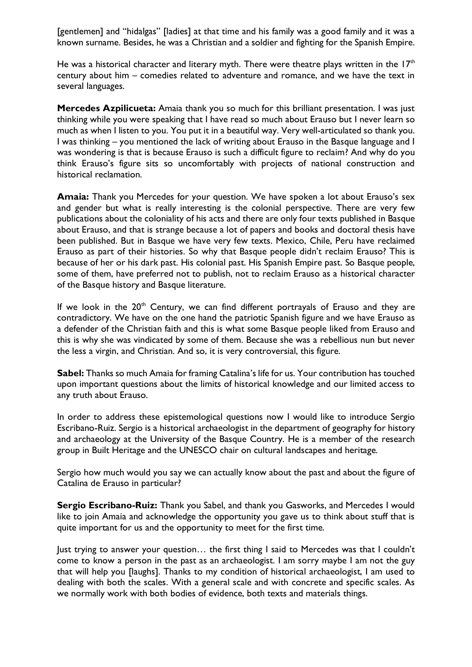[gentlemen] and "hidalgas" [ladies] at that time and his family was a good family and it was a known surname. Besides, he was a Christian and a soldier and fighting for the Spanish Empire.

He was a historical character and literary myth. There were theatre plays written in the  $17<sup>th</sup>$ century about him – comedies related to adventure and romance, and we have the text in several languages.

**Mercedes Azpilicueta:** Amaia thank you so much for this brilliant presentation. I was just thinking while you were speaking that I have read so much about Erauso but I never learn so much as when I listen to you. You put it in a beautiful way. Very well-articulated so thank you. I was thinking – you mentioned the lack of writing about Erauso in the Basque language and I was wondering is that is because Erauso is such a difficult figure to reclaim? And why do you think Erauso's figure sits so uncomfortably with projects of national construction and historical reclamation.

**Amaia:** Thank you Mercedes for your question. We have spoken a lot about Erauso's sex and gender but what is really interesting is the colonial perspective. There are very few publications about the coloniality of his acts and there are only four texts published in Basque about Erauso, and that is strange because a lot of papers and books and doctoral thesis have been published. But in Basque we have very few texts. Mexico, Chile, Peru have reclaimed Erauso as part of their histories. So why that Basque people didn't reclaim Erauso? This is because of her or his dark past. His colonial past. His Spanish Empire past. So Basque people, some of them, have preferred not to publish, not to reclaim Erauso as a historical character of the Basque history and Basque literature.

If we look in the  $20<sup>th</sup>$  Century, we can find different portrayals of Erauso and they are contradictory. We have on the one hand the patriotic Spanish figure and we have Erauso as a defender of the Christian faith and this is what some Basque people liked from Erauso and this is why she was vindicated by some of them. Because she was a rebellious nun but never the less a virgin, and Christian. And so, it is very controversial, this figure.

**Sabel:** Thanks so much Amaia for framing Catalina's life for us. Your contribution has touched upon important questions about the limits of historical knowledge and our limited access to any truth about Erauso.

In order to address these epistemological questions now I would like to introduce Sergio Escribano-Ruiz. Sergio is a historical archaeologist in the department of geography for history and archaeology at the University of the Basque Country. He is a member of the research group in Built Heritage and the UNESCO chair on cultural landscapes and heritage.

Sergio how much would you say we can actually know about the past and about the figure of Catalina de Erauso in particular?

**Sergio Escribano-Ruiz:** Thank you Sabel, and thank you Gasworks, and Mercedes I would like to join Amaia and acknowledge the opportunity you gave us to think about stuff that is quite important for us and the opportunity to meet for the first time.

Just trying to answer your question… the first thing I said to Mercedes was that I couldn't come to know a person in the past as an archaeologist. I am sorry maybe I am not the guy that will help you [laughs]. Thanks to my condition of historical archaeologist, I am used to dealing with both the scales. With a general scale and with concrete and specific scales. As we normally work with both bodies of evidence, both texts and materials things.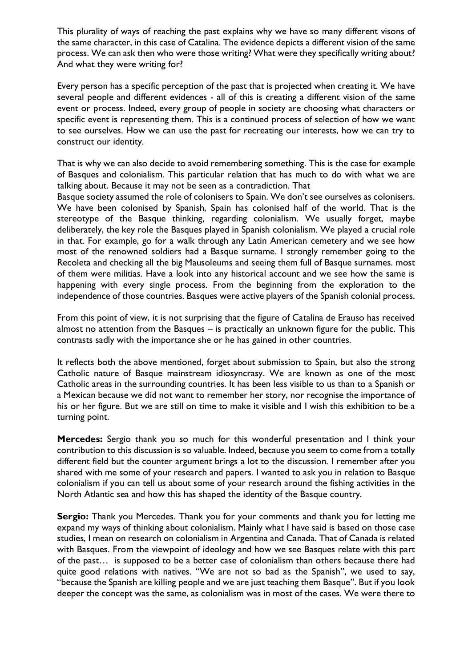This plurality of ways of reaching the past explains why we have so many different visons of the same character, in this case of Catalina. The evidence depicts a different vision of the same process. We can ask then who were those writing? What were they specifically writing about? And what they were writing for?

Every person has a specific perception of the past that is projected when creating it. We have several people and different evidences - all of this is creating a different vision of the same event or process. Indeed, every group of people in society are choosing what characters or specific event is representing them. This is a continued process of selection of how we want to see ourselves. How we can use the past for recreating our interests, how we can try to construct our identity.

That is why we can also decide to avoid remembering something. This is the case for example of Basques and colonialism. This particular relation that has much to do with what we are talking about. Because it may not be seen as a contradiction. That

Basque society assumed the role of colonisers to Spain. We don't see ourselves as colonisers. We have been colonised by Spanish, Spain has colonised half of the world. That is the stereotype of the Basque thinking, regarding colonialism. We usually forget, maybe deliberately, the key role the Basques played in Spanish colonialism. We played a crucial role in that. For example, go for a walk through any Latin American cemetery and we see how most of the renowned soldiers had a Basque surname. I strongly remember going to the Recoleta and checking all the big Mausoleums and seeing them full of Basque surnames. most of them were militias. Have a look into any historical account and we see how the same is happening with every single process. From the beginning from the exploration to the independence of those countries. Basques were active players of the Spanish colonial process.

From this point of view, it is not surprising that the figure of Catalina de Erauso has received almost no attention from the Basques – is practically an unknown figure for the public. This contrasts sadly with the importance she or he has gained in other countries.

It reflects both the above mentioned, forget about submission to Spain, but also the strong Catholic nature of Basque mainstream idiosyncrasy. We are known as one of the most Catholic areas in the surrounding countries. It has been less visible to us than to a Spanish or a Mexican because we did not want to remember her story, nor recognise the importance of his or her figure. But we are still on time to make it visible and I wish this exhibition to be a turning point.

**Mercedes:** Sergio thank you so much for this wonderful presentation and I think your contribution to this discussion is so valuable. Indeed, because you seem to come from a totally different field but the counter argument brings a lot to the discussion. I remember after you shared with me some of your research and papers. I wanted to ask you in relation to Basque colonialism if you can tell us about some of your research around the fishing activities in the North Atlantic sea and how this has shaped the identity of the Basque country.

**Sergio:** Thank you Mercedes. Thank you for your comments and thank you for letting me expand my ways of thinking about colonialism. Mainly what I have said is based on those case studies, I mean on research on colonialism in Argentina and Canada. That of Canada is related with Basques. From the viewpoint of ideology and how we see Basques relate with this part of the past… is supposed to be a better case of colonialism than others because there had quite good relations with natives. "We are not so bad as the Spanish", we used to say, "because the Spanish are killing people and we are just teaching them Basque". But if you look deeper the concept was the same, as colonialism was in most of the cases. We were there to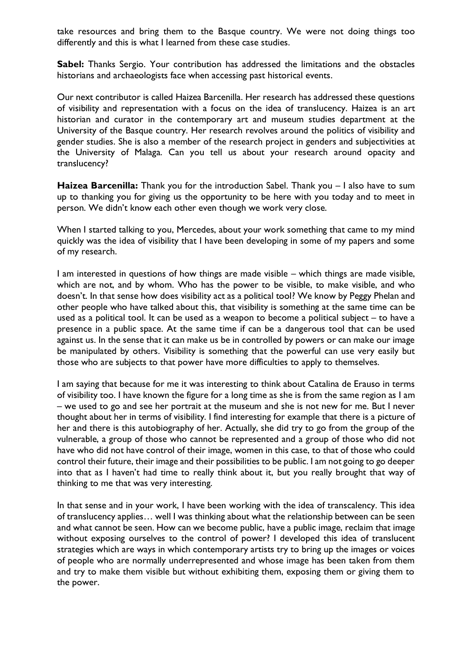take resources and bring them to the Basque country. We were not doing things too differently and this is what I learned from these case studies.

**Sabel:** Thanks Sergio. Your contribution has addressed the limitations and the obstacles historians and archaeologists face when accessing past historical events.

Our next contributor is called Haizea Barcenilla. Her research has addressed these questions of visibility and representation with a focus on the idea of translucency. Haizea is an art historian and curator in the contemporary art and museum studies department at the University of the Basque country. Her research revolves around the politics of visibility and gender studies. She is also a member of the research project in genders and subjectivities at the University of Malaga. Can you tell us about your research around opacity and translucency?

**Haizea Barcenilla:** Thank you for the introduction Sabel. Thank you – I also have to sum up to thanking you for giving us the opportunity to be here with you today and to meet in person. We didn't know each other even though we work very close.

When I started talking to you, Mercedes, about your work something that came to my mind quickly was the idea of visibility that I have been developing in some of my papers and some of my research.

I am interested in questions of how things are made visible – which things are made visible, which are not, and by whom. Who has the power to be visible, to make visible, and who doesn't. In that sense how does visibility act as a political tool? We know by Peggy Phelan and other people who have talked about this, that visibility is something at the same time can be used as a political tool. It can be used as a weapon to become a political subject – to have a presence in a public space. At the same time if can be a dangerous tool that can be used against us. In the sense that it can make us be in controlled by powers or can make our image be manipulated by others. Visibility is something that the powerful can use very easily but those who are subjects to that power have more difficulties to apply to themselves.

I am saying that because for me it was interesting to think about Catalina de Erauso in terms of visibility too. I have known the figure for a long time as she is from the same region as I am – we used to go and see her portrait at the museum and she is not new for me. But I never thought about her in terms of visibility. I find interesting for example that there is a picture of her and there is this autobiography of her. Actually, she did try to go from the group of the vulnerable, a group of those who cannot be represented and a group of those who did not have who did not have control of their image, women in this case, to that of those who could control their future, their image and their possibilities to be public. I am not going to go deeper into that as I haven't had time to really think about it, but you really brought that way of thinking to me that was very interesting.

In that sense and in your work, I have been working with the idea of transcalency. This idea of translucency applies… well I was thinking about what the relationship between can be seen and what cannot be seen. How can we become public, have a public image, reclaim that image without exposing ourselves to the control of power? I developed this idea of translucent strategies which are ways in which contemporary artists try to bring up the images or voices of people who are normally underrepresented and whose image has been taken from them and try to make them visible but without exhibiting them, exposing them or giving them to the power.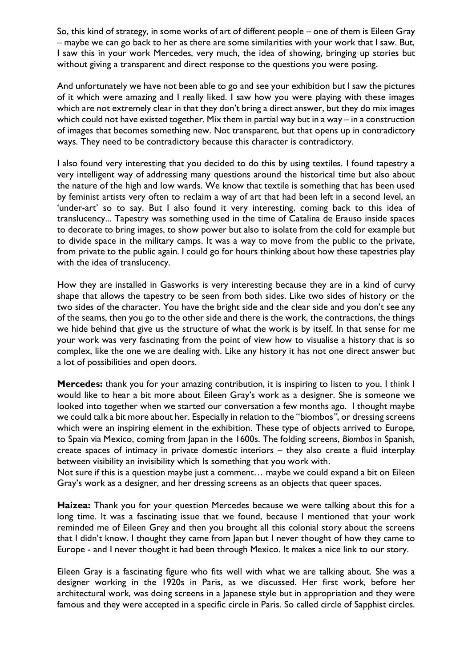So, this kind of strategy, in some works of art of different people – one of them is Eileen Gray – maybe we can go back to her as there are some similarities with your work that I saw. But, I saw this in your work Mercedes, very much, the idea of showing, bringing up stories but without giving a transparent and direct response to the questions you were posing.

And unfortunately we have not been able to go and see your exhibition but I saw the pictures of it which were amazing and I really liked. I saw how you were playing with these images which are not extremely clear in that they don't bring a direct answer, but they do mix images which could not have existed together. Mix them in partial way but in a way – in a construction of images that becomes something new. Not transparent, but that opens up in contradictory ways. They need to be contradictory because this character is contradictory.

I also found very interesting that you decided to do this by using textiles. I found tapestry a very intelligent way of addressing many questions around the historical time but also about the nature of the high and low wards. We know that textile is something that has been used by feminist artists very often to reclaim a way of art that had been left in a second level, an 'under-art' so to say. But I also found it very interesting, coming back to this idea of translucency... Tapestry was something used in the time of Catalina de Erauso inside spaces to decorate to bring images, to show power but also to isolate from the cold for example but to divide space in the military camps. It was a way to move from the public to the private, from private to the public again. I could go for hours thinking about how these tapestries play with the idea of translucency.

How they are installed in Gasworks is very interesting because they are in a kind of curvy shape that allows the tapestry to be seen from both sides. Like two sides of history or the two sides of the character. You have the bright side and the clear side and you don't see any of the seams, then you go to the other side and there is the work, the contractions, the things we hide behind that give us the structure of what the work is by itself. In that sense for me your work was very fascinating from the point of view how to visualise a history that is so complex, like the one we are dealing with. Like any history it has not one direct answer but a lot of possibilities and open doors.

**Mercedes:** thank you for your amazing contribution, it is inspiring to listen to you. I think I would like to hear a bit more about Eileen Gray's work as a designer. She is someone we looked into together when we started our conversation a few months ago. I thought maybe we could talk a bit more about her. Especially in relation to the "biombos*"*, or dressing screens which were an inspiring element in the exhibition. These type of objects arrived to Europe, to Spain via Mexico, coming from Japan in the 1600s. The folding screens, *Biombos* in Spanish, create spaces of intimacy in private domestic interiors – they also create a fluid interplay between visibility an invisibility which Is something that you work with.

Not sure if this is a question maybe just a comment… maybe we could expand a bit on Eileen Gray's work as a designer, and her dressing screens as an objects that queer spaces.

**Haizea:** Thank you for your question Mercedes because we were talking about this for a long time. It was a fascinating issue that we found, because I mentioned that your work reminded me of Eileen Grey and then you brought all this colonial story about the screens that I didn't know. I thought they came from Japan but I never thought of how they came to Europe - and I never thought it had been through Mexico. It makes a nice link to our story.

Eileen Gray is a fascinating figure who fits well with what we are talking about. She was a designer working in the 1920s in Paris, as we discussed. Her first work, before her architectural work, was doing screens in a Japanese style but in appropriation and they were famous and they were accepted in a specific circle in Paris. So called circle of Sapphist circles.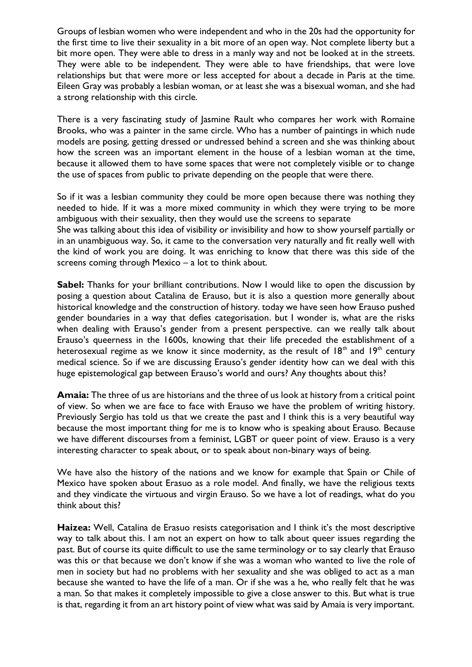Groups of lesbian women who were independent and who in the 20s had the opportunity for the first time to live their sexuality in a bit more of an open way. Not complete liberty but a bit more open. They were able to dress in a manly way and not be looked at in the streets. They were able to be independent. They were able to have friendships, that were love relationships but that were more or less accepted for about a decade in Paris at the time. Eileen Gray was probably a lesbian woman, or at least she was a bisexual woman, and she had a strong relationship with this circle.

There is a very fascinating study of Jasmine Rault who compares her work with Romaine Brooks, who was a painter in the same circle. Who has a number of paintings in which nude models are posing, getting dressed or undressed behind a screen and she was thinking about how the screen was an important element in the house of a lesbian woman at the time, because it allowed them to have some spaces that were not completely visible or to change the use of spaces from public to private depending on the people that were there.

So if it was a lesbian community they could be more open because there was nothing they needed to hide. If it was a more mixed community in which they were trying to be more ambiguous with their sexuality, then they would use the screens to separate

She was talking about this idea of visibility or invisibility and how to show yourself partially or in an unambiguous way. So, it came to the conversation very naturally and fit really well with the kind of work you are doing. It was enriching to know that there was this side of the screens coming through Mexico – a lot to think about.

**Sabel:** Thanks for your brilliant contributions. Now I would like to open the discussion by posing a question about Catalina de Erauso, but it is also a question more generally about historical knowledge and the construction of history. today we have seen how Erauso pushed gender boundaries in a way that defies categorisation. but I wonder is, what are the risks when dealing with Erauso's gender from a present perspective. can we really talk about Erauso's queerness in the 1600s, knowing that their life preceded the establishment of a heterosexual regime as we know it since modernity, as the result of  $18<sup>th</sup>$  and  $19<sup>th</sup>$  century medical science. So if we are discussing Erauso's gender identity how can we deal with this huge epistemological gap between Erauso's world and ours? Any thoughts about this?

**Amaia:** The three of us are historians and the three of us look at history from a critical point of view. So when we are face to face with Erauso we have the problem of writing history. Previously Sergio has told us that we create the past and I think this is a very beautiful way because the most important thing for me is to know who is speaking about Erauso. Because we have different discourses from a feminist, LGBT or queer point of view. Erauso is a very interesting character to speak about, or to speak about non-binary ways of being.

We have also the history of the nations and we know for example that Spain or Chile of Mexico have spoken about Erasuo as a role model. And finally, we have the religious texts and they vindicate the virtuous and virgin Erauso. So we have a lot of readings, what do you think about this?

**Haizea:** Well, Catalina de Erasuo resists categorisation and I think it's the most descriptive way to talk about this. I am not an expert on how to talk about queer issues regarding the past. But of course its quite difficult to use the same terminology or to say clearly that Erauso was this or that because we don't know if she was a woman who wanted to live the role of men in society but had no problems with her sexuality and she was obliged to act as a man because she wanted to have the life of a man. Or if she was a he, who really felt that he was a man. So that makes it completely impossible to give a close answer to this. But what is true is that, regarding it from an art history point of view what was said by Amaia is very important.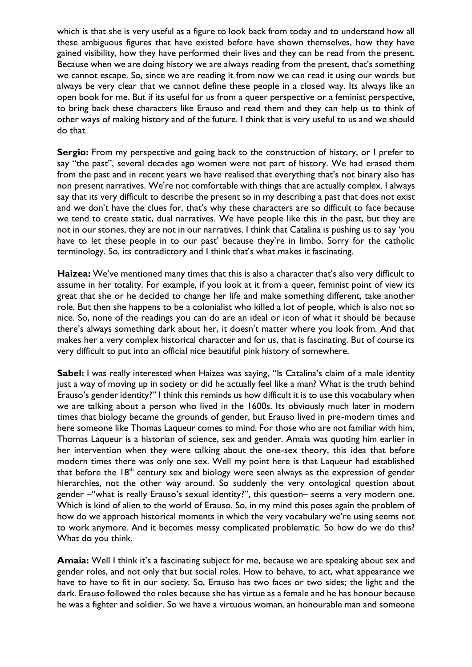which is that she is very useful as a figure to look back from today and to understand how all these ambiguous figures that have existed before have shown themselves, how they have gained visibility, how they have performed their lives and they can be read from the present. Because when we are doing history we are always reading from the present, that's something we cannot escape. So, since we are reading it from now we can read it using our words but always be very clear that we cannot define these people in a closed way. Its always like an open book for me. But if its useful for us from a queer perspective or a feminist perspective, to bring back these characters like Erauso and read them and they can help us to think of other ways of making history and of the future. I think that is very useful to us and we should do that.

Sergio: From my perspective and going back to the construction of history, or I prefer to say "the past", several decades ago women were not part of history. We had erased them from the past and in recent years we have realised that everything that's not binary also has non present narratives. We're not comfortable with things that are actually complex. I always say that its very difficult to describe the present so in my describing a past that does not exist and we don't have the clues for, that's why these characters are so difficult to face because we tend to create static, dual narratives. We have people like this in the past, but they are not in our stories, they are not in our narratives. I think that Catalina is pushing us to say 'you have to let these people in to our past' because they're in limbo. Sorry for the catholic terminology. So, its contradictory and I think that's what makes it fascinating.

**Haizea:** We've mentioned many times that this is also a character that's also very difficult to assume in her totality. For example, if you look at it from a queer, feminist point of view its great that she or he decided to change her life and make something different, take another role. But then she happens to be a colonialist who killed a lot of people, which is also not so nice. So, none of the readings you can do are an ideal or icon of what it should be because there's always something dark about her, it doesn't matter where you look from. And that makes her a very complex historical character and for us, that is fascinating. But of course its very difficult to put into an official nice beautiful pink history of somewhere.

**Sabel:** I was really interested when Haizea was saying, "Is Catalina's claim of a male identity just a way of moving up in society or did he actually feel like a man? What is the truth behind Erauso's gender identity?" I think this reminds us how difficult it is to use this vocabulary when we are talking about a person who lived in the 1600s. Its obviously much later in modern times that biology became the grounds of gender, but Erauso lived in pre-modern times and here someone like Thomas Laqueur comes to mind. For those who are not familiar with him, Thomas Laqueur is a historian of science, sex and gender. Amaia was quoting him earlier in her intervention when they were talking about the one-sex theory, this idea that before modern times there was only one sex. Well my point here is that Laqueur had established that before the  $18<sup>th</sup>$  century sex and biology were seen always as the expression of gender hierarchies, not the other way around. So suddenly the very ontological question about gender –"what is really Erauso's sexual identity?", this question– seems a very modern one. Which is kind of alien to the world of Erauso. So, in my mind this poses again the problem of how do we approach historical moments in which the very vocabulary we're using seems not to work anymore. And it becomes messy complicated problematic. So how do we do this? What do you think.

**Amaia:** Well I think it's a fascinating subject for me, because we are speaking about sex and gender roles, and not only that but social roles. How to behave, to act, what appearance we have to have to fit in our society. So, Erauso has two faces or two sides; the light and the dark. Erauso followed the roles because she has virtue as a female and he has honour because he was a fighter and soldier. So we have a virtuous woman, an honourable man and someone